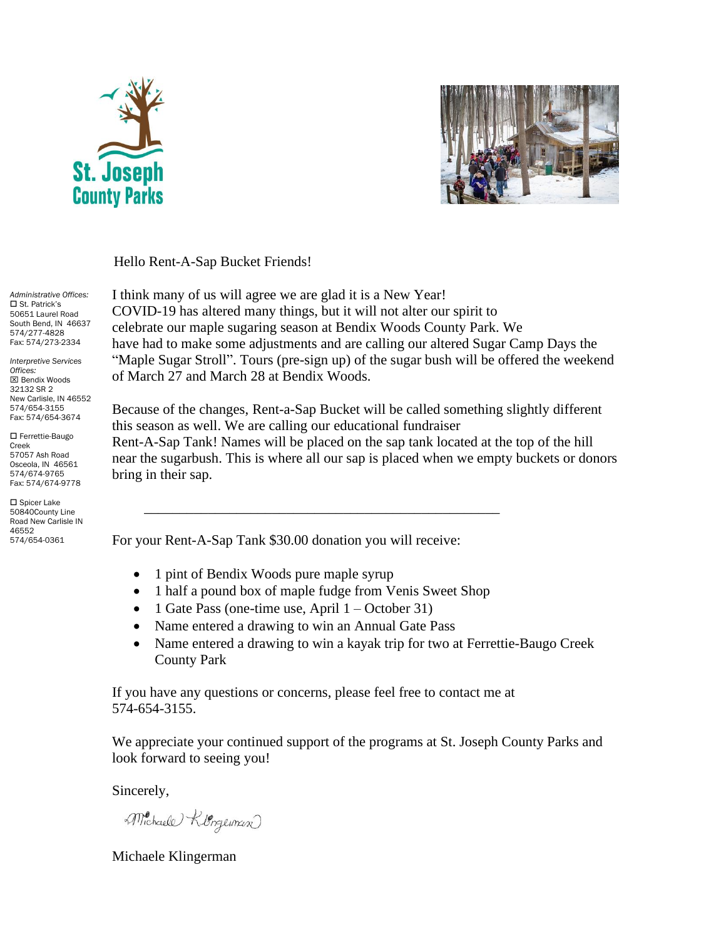



Hello Rent-A-Sap Bucket Friends!

*Administrative Offices:* □ St. Patrick's 50651 Laurel Road South Bend, IN 46637 574/277-4828 Fax: 574/273-2334

*Interpretive Services Offices:* Bendix Woods 32132 SR 2 New Carlisle, IN 46552 574/654-3155 Fax: 574/654-3674

 Ferrettie-Baugo Creek 57057 Ash Road Osceola, IN 46561 574/674-9765 Fax: 574/674-9778

 Spicer Lake 50840County Line Road New Carlisle IN 46552 574/654-0361

I think many of us will agree we are glad it is a New Year! COVID-19 has altered many things, but it will not alter our spirit to celebrate our maple sugaring season at Bendix Woods County Park. We have had to make some adjustments and are calling our altered Sugar Camp Days the "Maple Sugar Stroll". Tours (pre-sign up) of the sugar bush will be offered the weekend of March 27 and March 28 at Bendix Woods.

Because of the changes, Rent-a-Sap Bucket will be called something slightly different this season as well. We are calling our educational fundraiser Rent-A-Sap Tank! Names will be placed on the sap tank located at the top of the hill near the sugarbush. This is where all our sap is placed when we empty buckets or donors bring in their sap.

For your Rent-A-Sap Tank \$30.00 donation you will receive:

- 1 pint of Bendix Woods pure maple syrup
- 1 half a pound box of maple fudge from Venis Sweet Shop

\_\_\_\_\_\_\_\_\_\_\_\_\_\_\_\_\_\_\_\_\_\_\_\_\_\_\_\_\_\_\_\_\_\_\_\_\_\_\_\_\_\_\_\_\_\_\_\_\_\_

- 1 Gate Pass (one-time use, April  $1 -$ October 31)
- Name entered a drawing to win an Annual Gate Pass
- Name entered a drawing to win a kayak trip for two at Ferrettie-Baugo Creek County Park

If you have any questions or concerns, please feel free to contact me at 574-654-3155.

We appreciate your continued support of the programs at St. Joseph County Parks and look forward to seeing you!

Sincerely,

Michaele Klorgeman

Michaele Klingerman